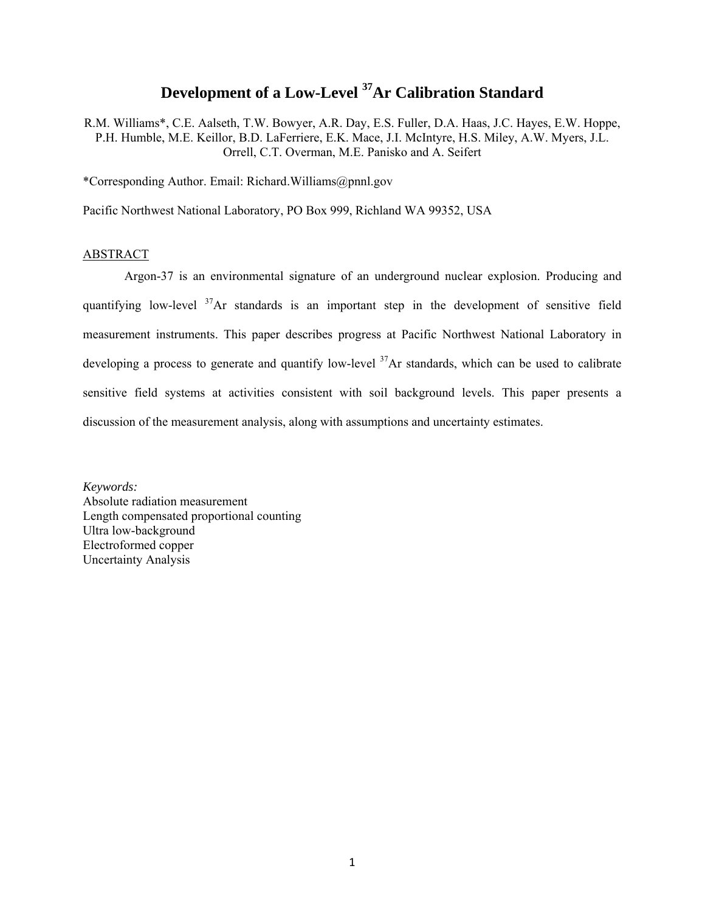# **Development of a Low-Level 37Ar Calibration Standard**

R.M. Williams\*, C.E. Aalseth, T.W. Bowyer, A.R. Day, E.S. Fuller, D.A. Haas, J.C. Hayes, E.W. Hoppe, P.H. Humble, M.E. Keillor, B.D. LaFerriere, E.K. Mace, J.I. McIntyre, H.S. Miley, A.W. Myers, J.L. Orrell, C.T. Overman, M.E. Panisko and A. Seifert

\*Corresponding Author. Email: Richard.Williams@pnnl.gov

Pacific Northwest National Laboratory, PO Box 999, Richland WA 99352, USA

# ABSTRACT

Argon-37 is an environmental signature of an underground nuclear explosion. Producing and quantifying low-level <sup>37</sup>Ar standards is an important step in the development of sensitive field measurement instruments. This paper describes progress at Pacific Northwest National Laboratory in developing a process to generate and quantify low-level  $37$ Ar standards, which can be used to calibrate sensitive field systems at activities consistent with soil background levels. This paper presents a discussion of the measurement analysis, along with assumptions and uncertainty estimates.

*Keywords:*  Absolute radiation measurement Length compensated proportional counting Ultra low-background Electroformed copper Uncertainty Analysis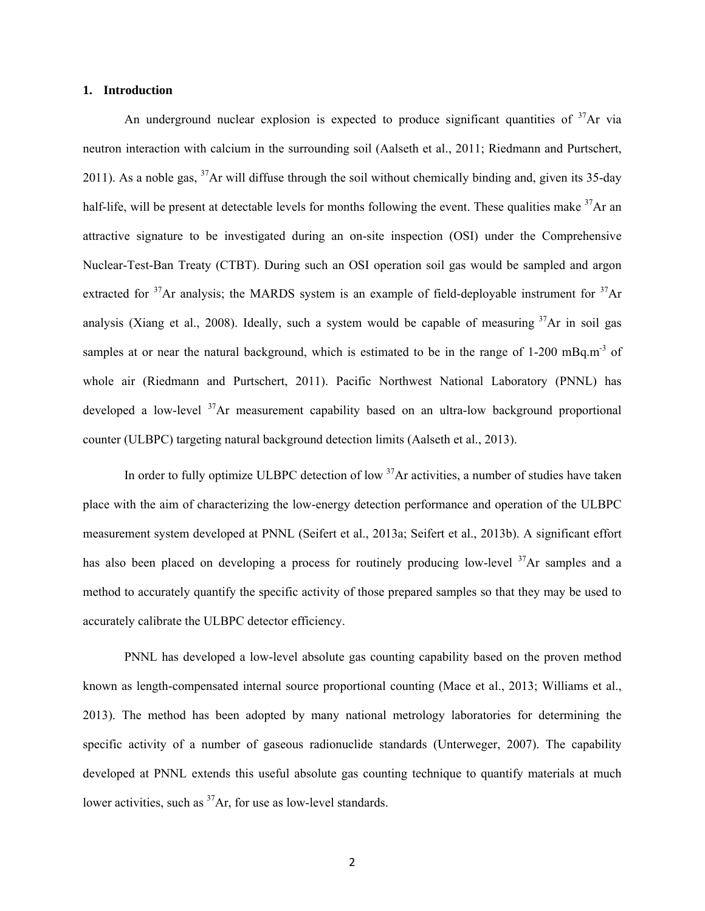### **1. Introduction**

An underground nuclear explosion is expected to produce significant quantities of  $37$ Ar via neutron interaction with calcium in the surrounding soil (Aalseth et al., 2011; Riedmann and Purtschert, 2011). As a noble gas,  $37$ Ar will diffuse through the soil without chemically binding and, given its 35-day half-life, will be present at detectable levels for months following the event. These qualities make <sup>37</sup>Ar an attractive signature to be investigated during an on-site inspection (OSI) under the Comprehensive Nuclear-Test-Ban Treaty (CTBT). During such an OSI operation soil gas would be sampled and argon extracted for  $37$ Ar analysis; the MARDS system is an example of field-deployable instrument for  $37$ Ar analysis (Xiang et al., 2008). Ideally, such a system would be capable of measuring  $37\text{Ar}$  in soil gas samples at or near the natural background, which is estimated to be in the range of 1-200 mBq.m<sup>-3</sup> of whole air (Riedmann and Purtschert, 2011). Pacific Northwest National Laboratory (PNNL) has developed a low-level <sup>37</sup>Ar measurement capability based on an ultra-low background proportional counter (ULBPC) targeting natural background detection limits (Aalseth et al., 2013).

In order to fully optimize ULBPC detection of low <sup>37</sup>Ar activities, a number of studies have taken place with the aim of characterizing the low-energy detection performance and operation of the ULBPC measurement system developed at PNNL (Seifert et al., 2013a; Seifert et al., 2013b). A significant effort has also been placed on developing a process for routinely producing low-level <sup>37</sup>Ar samples and a method to accurately quantify the specific activity of those prepared samples so that they may be used to accurately calibrate the ULBPC detector efficiency.

PNNL has developed a low-level absolute gas counting capability based on the proven method known as length-compensated internal source proportional counting (Mace et al., 2013; Williams et al., 2013). The method has been adopted by many national metrology laboratories for determining the specific activity of a number of gaseous radionuclide standards (Unterweger, 2007). The capability developed at PNNL extends this useful absolute gas counting technique to quantify materials at much lower activities, such as <sup>37</sup>Ar, for use as low-level standards.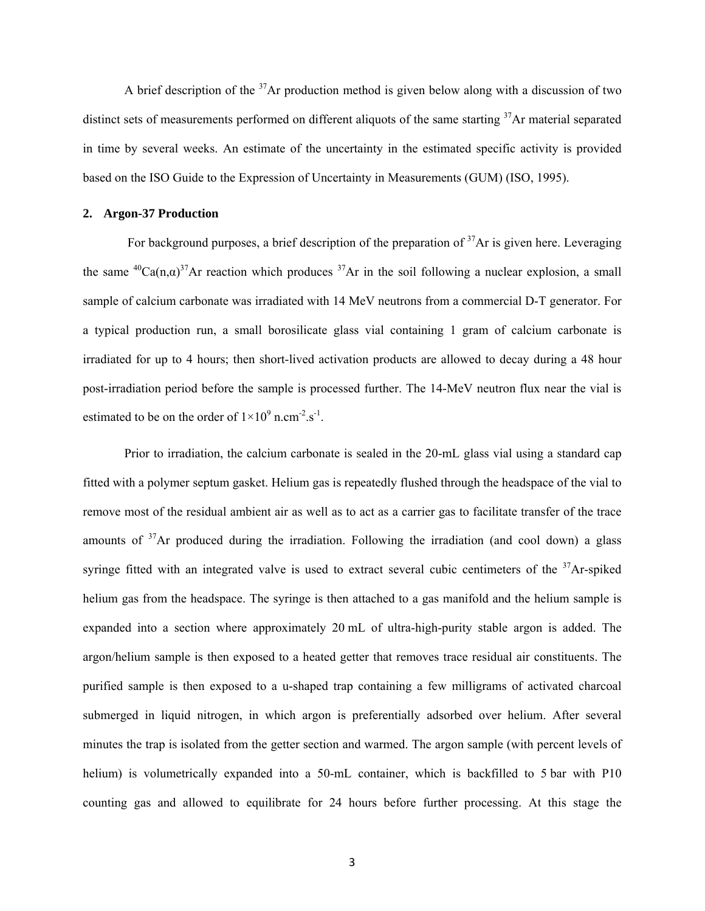A brief description of the  $37$ Ar production method is given below along with a discussion of two distinct sets of measurements performed on different aliquots of the same starting  $37$ Ar material separated in time by several weeks. An estimate of the uncertainty in the estimated specific activity is provided based on the ISO Guide to the Expression of Uncertainty in Measurements (GUM) (ISO, 1995).

# **2. Argon-37 Production**

For background purposes, a brief description of the preparation of  $37$ Ar is given here. Leveraging the same <sup>40</sup>Ca(n, $\alpha$ )<sup>37</sup>Ar reaction which produces <sup>37</sup>Ar in the soil following a nuclear explosion, a small sample of calcium carbonate was irradiated with 14 MeV neutrons from a commercial D-T generator. For a typical production run, a small borosilicate glass vial containing 1 gram of calcium carbonate is irradiated for up to 4 hours; then short-lived activation products are allowed to decay during a 48 hour post-irradiation period before the sample is processed further. The 14-MeV neutron flux near the vial is estimated to be on the order of  $1 \times 10^9$  n.cm<sup>-2</sup>.s<sup>-1</sup>.

Prior to irradiation, the calcium carbonate is sealed in the 20-mL glass vial using a standard cap fitted with a polymer septum gasket. Helium gas is repeatedly flushed through the headspace of the vial to remove most of the residual ambient air as well as to act as a carrier gas to facilitate transfer of the trace amounts of  $37$ Ar produced during the irradiation. Following the irradiation (and cool down) a glass syringe fitted with an integrated valve is used to extract several cubic centimeters of the  $37$ Ar-spiked helium gas from the headspace. The syringe is then attached to a gas manifold and the helium sample is expanded into a section where approximately 20 mL of ultra-high-purity stable argon is added. The argon/helium sample is then exposed to a heated getter that removes trace residual air constituents. The purified sample is then exposed to a u-shaped trap containing a few milligrams of activated charcoal submerged in liquid nitrogen, in which argon is preferentially adsorbed over helium. After several minutes the trap is isolated from the getter section and warmed. The argon sample (with percent levels of helium) is volumetrically expanded into a 50-mL container, which is backfilled to 5 bar with P10 counting gas and allowed to equilibrate for 24 hours before further processing. At this stage the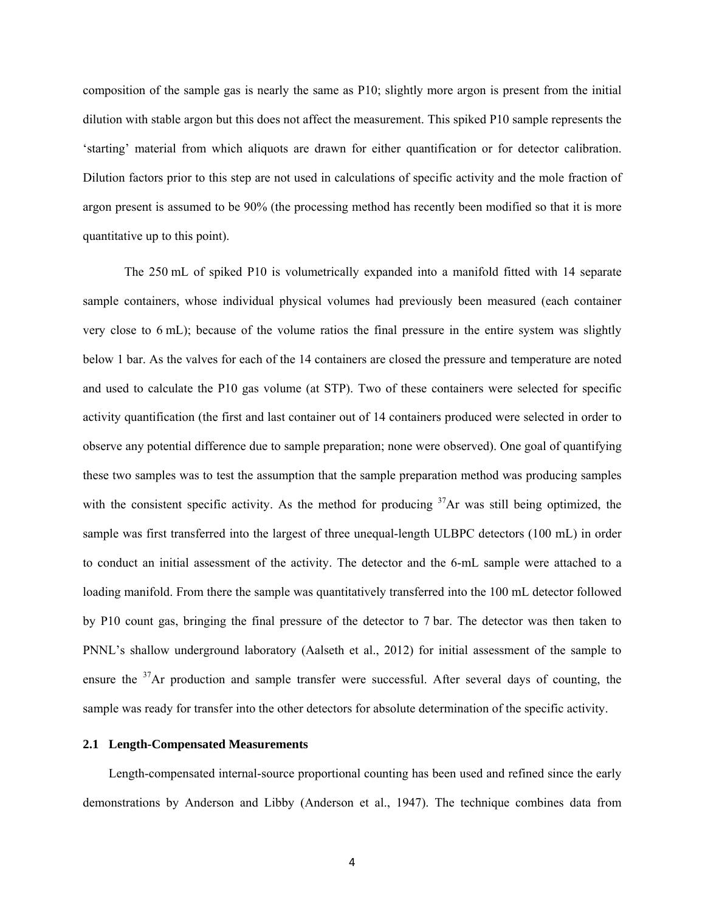composition of the sample gas is nearly the same as P10; slightly more argon is present from the initial dilution with stable argon but this does not affect the measurement. This spiked P10 sample represents the 'starting' material from which aliquots are drawn for either quantification or for detector calibration. Dilution factors prior to this step are not used in calculations of specific activity and the mole fraction of argon present is assumed to be 90% (the processing method has recently been modified so that it is more quantitative up to this point).

The 250 mL of spiked P10 is volumetrically expanded into a manifold fitted with 14 separate sample containers, whose individual physical volumes had previously been measured (each container very close to 6 mL); because of the volume ratios the final pressure in the entire system was slightly below 1 bar. As the valves for each of the 14 containers are closed the pressure and temperature are noted and used to calculate the P10 gas volume (at STP). Two of these containers were selected for specific activity quantification (the first and last container out of 14 containers produced were selected in order to observe any potential difference due to sample preparation; none were observed). One goal of quantifying these two samples was to test the assumption that the sample preparation method was producing samples with the consistent specific activity. As the method for producing  $37$ Ar was still being optimized, the sample was first transferred into the largest of three unequal-length ULBPC detectors (100 mL) in order to conduct an initial assessment of the activity. The detector and the 6-mL sample were attached to a loading manifold. From there the sample was quantitatively transferred into the 100 mL detector followed by P10 count gas, bringing the final pressure of the detector to 7 bar. The detector was then taken to PNNL's shallow underground laboratory (Aalseth et al., 2012) for initial assessment of the sample to ensure the  $37$ Ar production and sample transfer were successful. After several days of counting, the sample was ready for transfer into the other detectors for absolute determination of the specific activity.

## **2.1 Length-Compensated Measurements**

Length-compensated internal-source proportional counting has been used and refined since the early demonstrations by Anderson and Libby (Anderson et al., 1947). The technique combines data from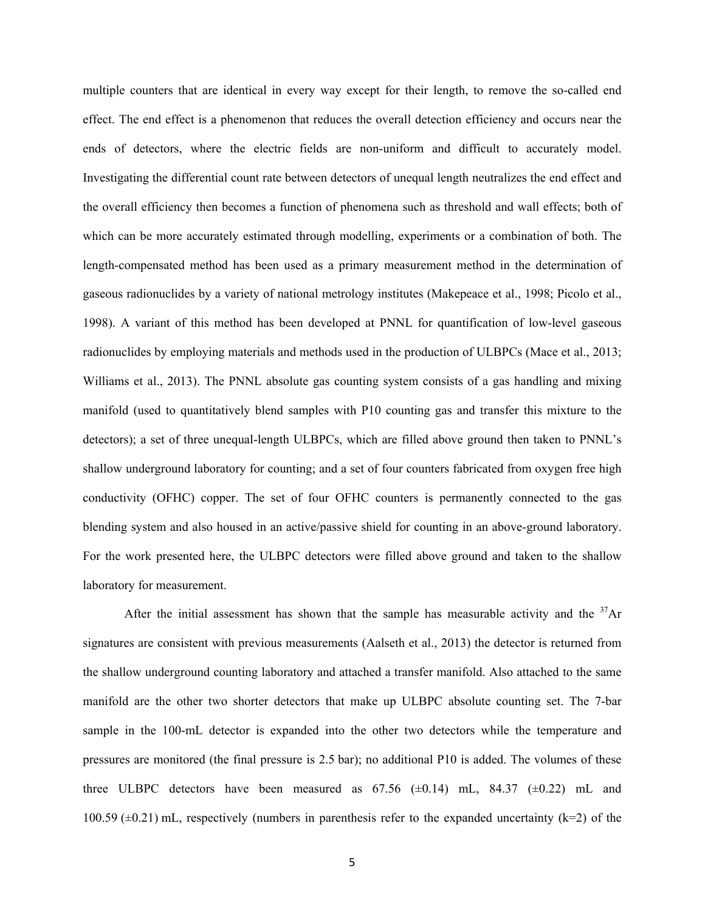multiple counters that are identical in every way except for their length, to remove the so-called end effect. The end effect is a phenomenon that reduces the overall detection efficiency and occurs near the ends of detectors, where the electric fields are non-uniform and difficult to accurately model. Investigating the differential count rate between detectors of unequal length neutralizes the end effect and the overall efficiency then becomes a function of phenomena such as threshold and wall effects; both of which can be more accurately estimated through modelling, experiments or a combination of both. The length-compensated method has been used as a primary measurement method in the determination of gaseous radionuclides by a variety of national metrology institutes (Makepeace et al., 1998; Picolo et al., 1998). A variant of this method has been developed at PNNL for quantification of low-level gaseous radionuclides by employing materials and methods used in the production of ULBPCs (Mace et al., 2013; Williams et al., 2013). The PNNL absolute gas counting system consists of a gas handling and mixing manifold (used to quantitatively blend samples with P10 counting gas and transfer this mixture to the detectors); a set of three unequal-length ULBPCs, which are filled above ground then taken to PNNL's shallow underground laboratory for counting; and a set of four counters fabricated from oxygen free high conductivity (OFHC) copper. The set of four OFHC counters is permanently connected to the gas blending system and also housed in an active/passive shield for counting in an above-ground laboratory. For the work presented here, the ULBPC detectors were filled above ground and taken to the shallow laboratory for measurement.

After the initial assessment has shown that the sample has measurable activity and the  $37\text{Ar}$ signatures are consistent with previous measurements (Aalseth et al., 2013) the detector is returned from the shallow underground counting laboratory and attached a transfer manifold. Also attached to the same manifold are the other two shorter detectors that make up ULBPC absolute counting set. The 7-bar sample in the 100-mL detector is expanded into the other two detectors while the temperature and pressures are monitored (the final pressure is 2.5 bar); no additional P10 is added. The volumes of these three ULBPC detectors have been measured as  $67.56 \ (\pm 0.14)$  mL,  $84.37 \ (\pm 0.22)$  mL and 100.59 ( $\pm$ 0.21) mL, respectively (numbers in parenthesis refer to the expanded uncertainty (k=2) of the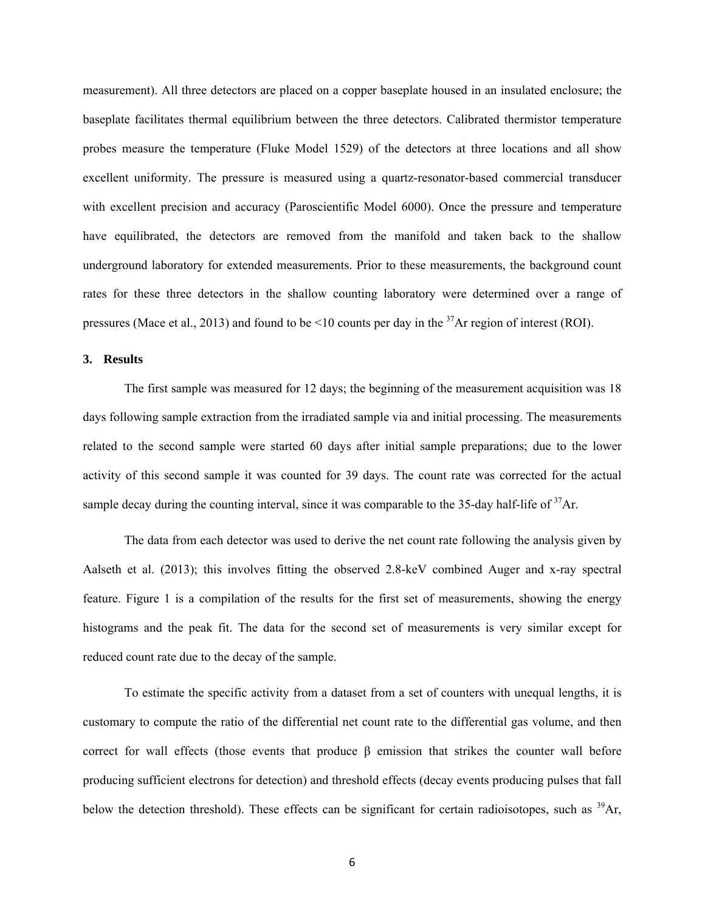measurement). All three detectors are placed on a copper baseplate housed in an insulated enclosure; the baseplate facilitates thermal equilibrium between the three detectors. Calibrated thermistor temperature probes measure the temperature (Fluke Model 1529) of the detectors at three locations and all show excellent uniformity. The pressure is measured using a quartz-resonator-based commercial transducer with excellent precision and accuracy (Paroscientific Model 6000). Once the pressure and temperature have equilibrated, the detectors are removed from the manifold and taken back to the shallow underground laboratory for extended measurements. Prior to these measurements, the background count rates for these three detectors in the shallow counting laboratory were determined over a range of pressures (Mace et al., 2013) and found to be  $\leq 10$  counts per day in the <sup>37</sup>Ar region of interest (ROI).

## **3. Results**

The first sample was measured for 12 days; the beginning of the measurement acquisition was 18 days following sample extraction from the irradiated sample via and initial processing. The measurements related to the second sample were started 60 days after initial sample preparations; due to the lower activity of this second sample it was counted for 39 days. The count rate was corrected for the actual sample decay during the counting interval, since it was comparable to the 35-day half-life of <sup>37</sup>Ar.

The data from each detector was used to derive the net count rate following the analysis given by Aalseth et al. (2013); this involves fitting the observed 2.8-keV combined Auger and x-ray spectral feature. Figure 1 is a compilation of the results for the first set of measurements, showing the energy histograms and the peak fit. The data for the second set of measurements is very similar except for reduced count rate due to the decay of the sample.

To estimate the specific activity from a dataset from a set of counters with unequal lengths, it is customary to compute the ratio of the differential net count rate to the differential gas volume, and then correct for wall effects (those events that produce β emission that strikes the counter wall before producing sufficient electrons for detection) and threshold effects (decay events producing pulses that fall below the detection threshold). These effects can be significant for certain radioisotopes, such as  $^{39}Ar$ ,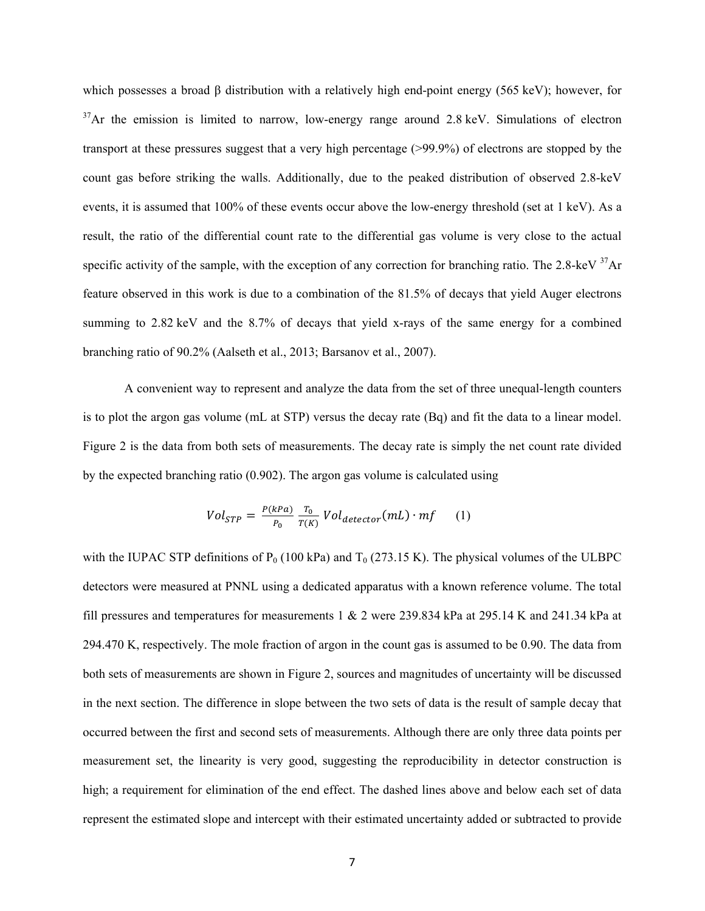which possesses a broad  $\beta$  distribution with a relatively high end-point energy (565 keV); however, for  $37$ Ar the emission is limited to narrow, low-energy range around 2.8 keV. Simulations of electron transport at these pressures suggest that a very high percentage (>99.9%) of electrons are stopped by the count gas before striking the walls. Additionally, due to the peaked distribution of observed 2.8-keV events, it is assumed that 100% of these events occur above the low-energy threshold (set at 1 keV). As a result, the ratio of the differential count rate to the differential gas volume is very close to the actual specific activity of the sample, with the exception of any correction for branching ratio. The 2.8-keV  $37$ Ar feature observed in this work is due to a combination of the 81.5% of decays that yield Auger electrons summing to 2.82 keV and the 8.7% of decays that yield x-rays of the same energy for a combined branching ratio of 90.2% (Aalseth et al., 2013; Barsanov et al., 2007).

A convenient way to represent and analyze the data from the set of three unequal-length counters is to plot the argon gas volume (mL at STP) versus the decay rate (Bq) and fit the data to a linear model. Figure 2 is the data from both sets of measurements. The decay rate is simply the net count rate divided by the expected branching ratio (0.902). The argon gas volume is calculated using

$$
Vol_{STP} = \frac{P(kPa)}{P_0} \frac{T_0}{T(K)} Vol_{detector}(mL) \cdot mf \qquad (1)
$$

with the IUPAC STP definitions of  $P_0$  (100 kPa) and  $T_0$  (273.15 K). The physical volumes of the ULBPC detectors were measured at PNNL using a dedicated apparatus with a known reference volume. The total fill pressures and temperatures for measurements 1 & 2 were 239.834 kPa at 295.14 K and 241.34 kPa at 294.470 K, respectively. The mole fraction of argon in the count gas is assumed to be 0.90. The data from both sets of measurements are shown in Figure 2, sources and magnitudes of uncertainty will be discussed in the next section. The difference in slope between the two sets of data is the result of sample decay that occurred between the first and second sets of measurements. Although there are only three data points per measurement set, the linearity is very good, suggesting the reproducibility in detector construction is high; a requirement for elimination of the end effect. The dashed lines above and below each set of data represent the estimated slope and intercept with their estimated uncertainty added or subtracted to provide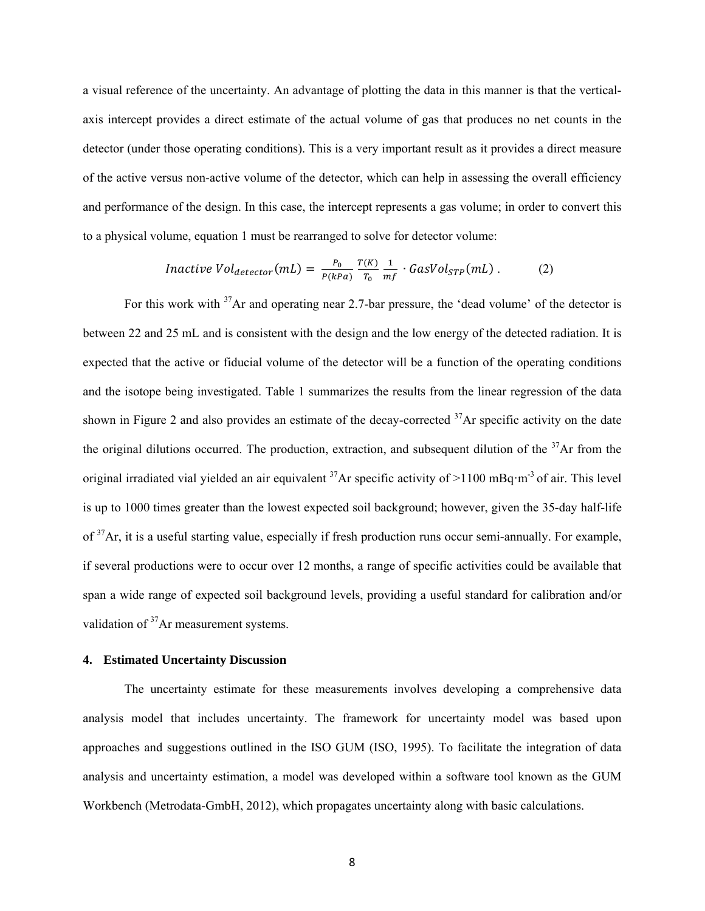a visual reference of the uncertainty. An advantage of plotting the data in this manner is that the verticalaxis intercept provides a direct estimate of the actual volume of gas that produces no net counts in the detector (under those operating conditions). This is a very important result as it provides a direct measure of the active versus non-active volume of the detector, which can help in assessing the overall efficiency and performance of the design. In this case, the intercept represents a gas volume; in order to convert this to a physical volume, equation 1 must be rearranged to solve for detector volume:

$$
Inactive\ Vol_{detector}(mL) = \frac{P_0}{P(kPa)} \frac{T(K)}{T_0} \frac{1}{mf} \cdot GasVol_{STP}(mL) \ . \tag{2}
$$

For this work with <sup>37</sup>Ar and operating near 2.7-bar pressure, the 'dead volume' of the detector is between 22 and 25 mL and is consistent with the design and the low energy of the detected radiation. It is expected that the active or fiducial volume of the detector will be a function of the operating conditions and the isotope being investigated. Table 1 summarizes the results from the linear regression of the data shown in Figure 2 and also provides an estimate of the decay-corrected <sup>37</sup>Ar specific activity on the date the original dilutions occurred. The production, extraction, and subsequent dilution of the  $37\text{Ar}$  from the original irradiated vial yielded an air equivalent  $^{37}Ar$  specific activity of  $>1100$  mBq·m<sup>-3</sup> of air. This level is up to 1000 times greater than the lowest expected soil background; however, given the 35-day half-life of  $37$ Ar, it is a useful starting value, especially if fresh production runs occur semi-annually. For example, if several productions were to occur over 12 months, a range of specific activities could be available that span a wide range of expected soil background levels, providing a useful standard for calibration and/or validation of <sup>37</sup>Ar measurement systems.

# **4. Estimated Uncertainty Discussion**

The uncertainty estimate for these measurements involves developing a comprehensive data analysis model that includes uncertainty. The framework for uncertainty model was based upon approaches and suggestions outlined in the ISO GUM (ISO, 1995). To facilitate the integration of data analysis and uncertainty estimation, a model was developed within a software tool known as the GUM Workbench (Metrodata-GmbH, 2012), which propagates uncertainty along with basic calculations.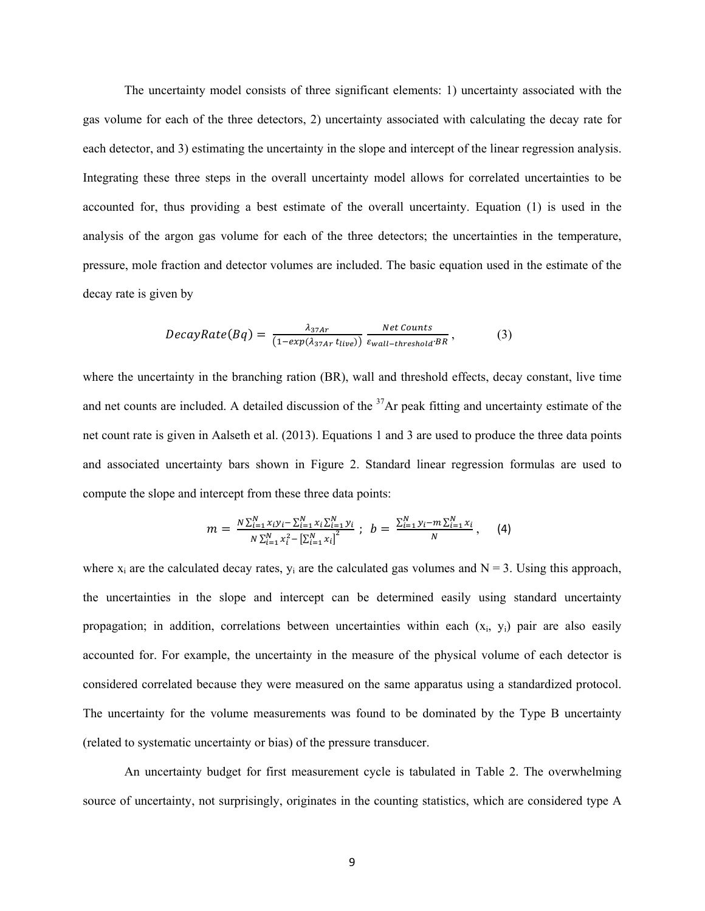The uncertainty model consists of three significant elements: 1) uncertainty associated with the gas volume for each of the three detectors, 2) uncertainty associated with calculating the decay rate for each detector, and 3) estimating the uncertainty in the slope and intercept of the linear regression analysis. Integrating these three steps in the overall uncertainty model allows for correlated uncertainties to be accounted for, thus providing a best estimate of the overall uncertainty. Equation (1) is used in the analysis of the argon gas volume for each of the three detectors; the uncertainties in the temperature, pressure, mole fraction and detector volumes are included. The basic equation used in the estimate of the decay rate is given by

$$
DecayRate(Bq) = \frac{\lambda_{37Ar}}{(1-exp(\lambda_{37Ar} t_{live}))} \frac{Net \text{ counts}}{\varepsilon_{wall-threshold} \cdot BR},
$$
 (3)

where the uncertainty in the branching ration (BR), wall and threshold effects, decay constant, live time and net counts are included. A detailed discussion of the  $37$ Ar peak fitting and uncertainty estimate of the net count rate is given in Aalseth et al. (2013). Equations 1 and 3 are used to produce the three data points and associated uncertainty bars shown in Figure 2. Standard linear regression formulas are used to compute the slope and intercept from these three data points:

$$
m = \frac{N \sum_{i=1}^{N} x_i y_i - \sum_{i=1}^{N} x_i \sum_{i=1}^{N} y_i}{N \sum_{i=1}^{N} x_i^2 - \left[\sum_{i=1}^{N} x_i\right]^2}; \ \ b = \frac{\sum_{i=1}^{N} y_i - m \sum_{i=1}^{N} x_i}{N}; \ \ (4)
$$

where  $x_i$  are the calculated decay rates,  $y_i$  are the calculated gas volumes and  $N = 3$ . Using this approach, the uncertainties in the slope and intercept can be determined easily using standard uncertainty propagation; in addition, correlations between uncertainties within each  $(x_i, y_i)$  pair are also easily accounted for. For example, the uncertainty in the measure of the physical volume of each detector is considered correlated because they were measured on the same apparatus using a standardized protocol. The uncertainty for the volume measurements was found to be dominated by the Type B uncertainty (related to systematic uncertainty or bias) of the pressure transducer.

An uncertainty budget for first measurement cycle is tabulated in Table 2. The overwhelming source of uncertainty, not surprisingly, originates in the counting statistics, which are considered type A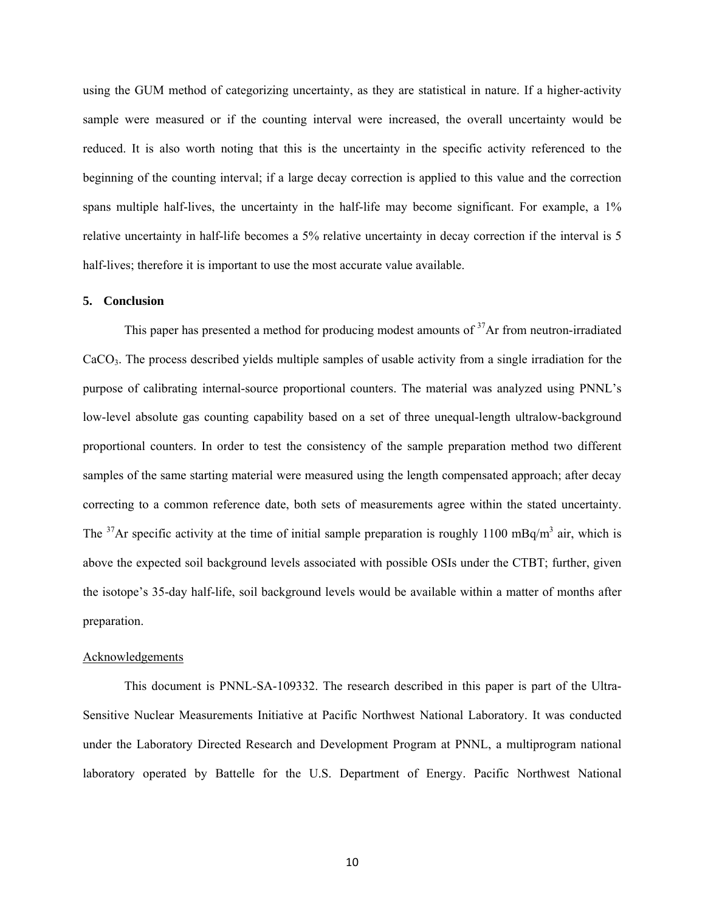using the GUM method of categorizing uncertainty, as they are statistical in nature. If a higher-activity sample were measured or if the counting interval were increased, the overall uncertainty would be reduced. It is also worth noting that this is the uncertainty in the specific activity referenced to the beginning of the counting interval; if a large decay correction is applied to this value and the correction spans multiple half-lives, the uncertainty in the half-life may become significant. For example, a 1% relative uncertainty in half-life becomes a 5% relative uncertainty in decay correction if the interval is 5 half-lives; therefore it is important to use the most accurate value available.

### **5. Conclusion**

This paper has presented a method for producing modest amounts of <sup>37</sup>Ar from neutron-irradiated CaCO3. The process described yields multiple samples of usable activity from a single irradiation for the purpose of calibrating internal-source proportional counters. The material was analyzed using PNNL's low-level absolute gas counting capability based on a set of three unequal-length ultralow-background proportional counters. In order to test the consistency of the sample preparation method two different samples of the same starting material were measured using the length compensated approach; after decay correcting to a common reference date, both sets of measurements agree within the stated uncertainty. The <sup>37</sup>Ar specific activity at the time of initial sample preparation is roughly 1100 mBq/m<sup>3</sup> air, which is above the expected soil background levels associated with possible OSIs under the CTBT; further, given the isotope's 35-day half-life, soil background levels would be available within a matter of months after preparation.

#### Acknowledgements

This document is PNNL-SA-109332. The research described in this paper is part of the Ultra-Sensitive Nuclear Measurements Initiative at Pacific Northwest National Laboratory. It was conducted under the Laboratory Directed Research and Development Program at PNNL, a multiprogram national laboratory operated by Battelle for the U.S. Department of Energy. Pacific Northwest National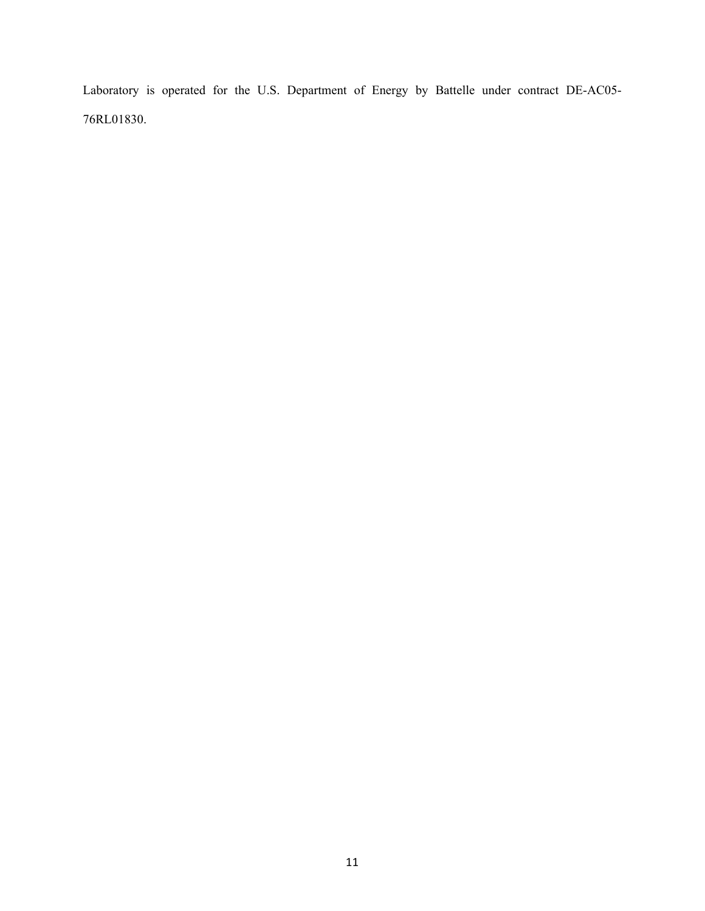Laboratory is operated for the U.S. Department of Energy by Battelle under contract DE-AC05- 76RL01830.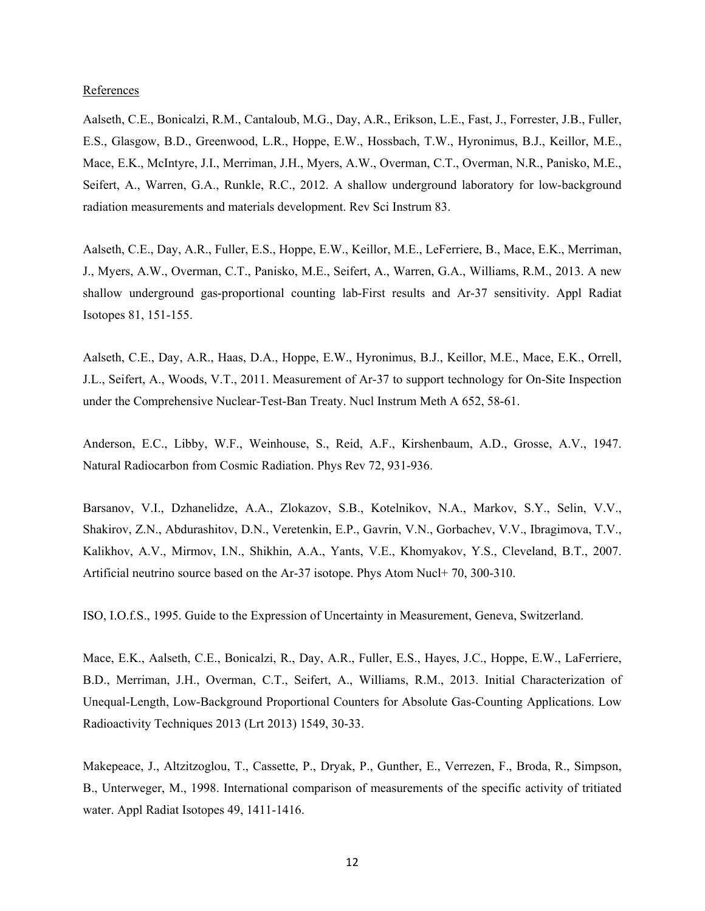## References

Aalseth, C.E., Bonicalzi, R.M., Cantaloub, M.G., Day, A.R., Erikson, L.E., Fast, J., Forrester, J.B., Fuller, E.S., Glasgow, B.D., Greenwood, L.R., Hoppe, E.W., Hossbach, T.W., Hyronimus, B.J., Keillor, M.E., Mace, E.K., McIntyre, J.I., Merriman, J.H., Myers, A.W., Overman, C.T., Overman, N.R., Panisko, M.E., Seifert, A., Warren, G.A., Runkle, R.C., 2012. A shallow underground laboratory for low-background radiation measurements and materials development. Rev Sci Instrum 83.

Aalseth, C.E., Day, A.R., Fuller, E.S., Hoppe, E.W., Keillor, M.E., LeFerriere, B., Mace, E.K., Merriman, J., Myers, A.W., Overman, C.T., Panisko, M.E., Seifert, A., Warren, G.A., Williams, R.M., 2013. A new shallow underground gas-proportional counting lab-First results and Ar-37 sensitivity. Appl Radiat Isotopes 81, 151-155.

Aalseth, C.E., Day, A.R., Haas, D.A., Hoppe, E.W., Hyronimus, B.J., Keillor, M.E., Mace, E.K., Orrell, J.L., Seifert, A., Woods, V.T., 2011. Measurement of Ar-37 to support technology for On-Site Inspection under the Comprehensive Nuclear-Test-Ban Treaty. Nucl Instrum Meth A 652, 58-61.

Anderson, E.C., Libby, W.F., Weinhouse, S., Reid, A.F., Kirshenbaum, A.D., Grosse, A.V., 1947. Natural Radiocarbon from Cosmic Radiation. Phys Rev 72, 931-936.

Barsanov, V.I., Dzhanelidze, A.A., Zlokazov, S.B., Kotelnikov, N.A., Markov, S.Y., Selin, V.V., Shakirov, Z.N., Abdurashitov, D.N., Veretenkin, E.P., Gavrin, V.N., Gorbachev, V.V., Ibragimova, T.V., Kalikhov, A.V., Mirmov, I.N., Shikhin, A.A., Yants, V.E., Khomyakov, Y.S., Cleveland, B.T., 2007. Artificial neutrino source based on the Ar-37 isotope. Phys Atom Nucl+ 70, 300-310.

ISO, I.O.f.S., 1995. Guide to the Expression of Uncertainty in Measurement, Geneva, Switzerland.

Mace, E.K., Aalseth, C.E., Bonicalzi, R., Day, A.R., Fuller, E.S., Hayes, J.C., Hoppe, E.W., LaFerriere, B.D., Merriman, J.H., Overman, C.T., Seifert, A., Williams, R.M., 2013. Initial Characterization of Unequal-Length, Low-Background Proportional Counters for Absolute Gas-Counting Applications. Low Radioactivity Techniques 2013 (Lrt 2013) 1549, 30-33.

Makepeace, J., Altzitzoglou, T., Cassette, P., Dryak, P., Gunther, E., Verrezen, F., Broda, R., Simpson, B., Unterweger, M., 1998. International comparison of measurements of the specific activity of tritiated water. Appl Radiat Isotopes 49, 1411-1416.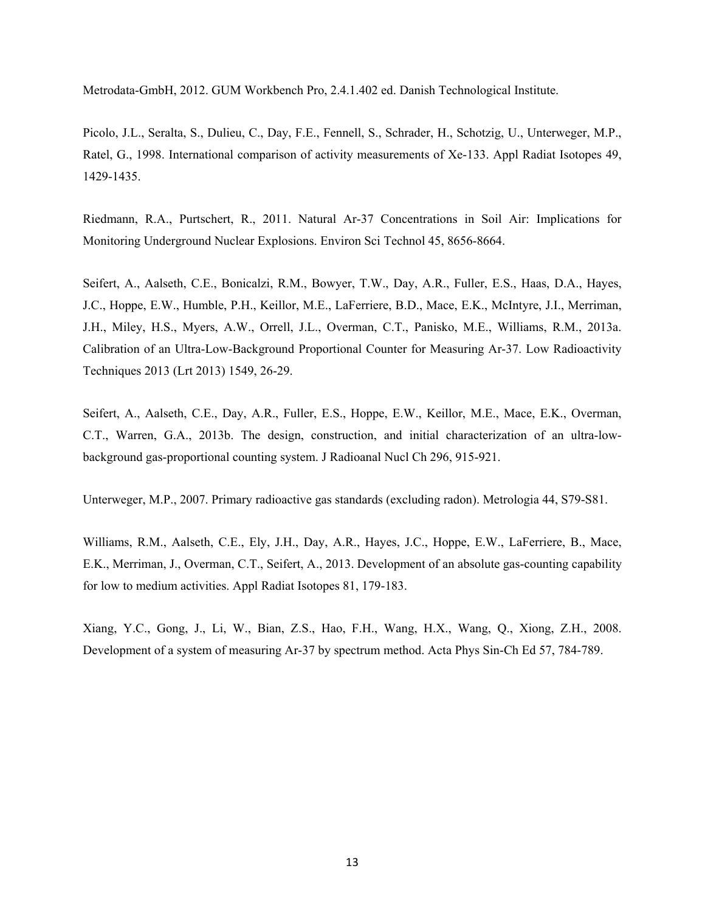Metrodata-GmbH, 2012. GUM Workbench Pro, 2.4.1.402 ed. Danish Technological Institute.

Picolo, J.L., Seralta, S., Dulieu, C., Day, F.E., Fennell, S., Schrader, H., Schotzig, U., Unterweger, M.P., Ratel, G., 1998. International comparison of activity measurements of Xe-133. Appl Radiat Isotopes 49, 1429-1435.

Riedmann, R.A., Purtschert, R., 2011. Natural Ar-37 Concentrations in Soil Air: Implications for Monitoring Underground Nuclear Explosions. Environ Sci Technol 45, 8656-8664.

Seifert, A., Aalseth, C.E., Bonicalzi, R.M., Bowyer, T.W., Day, A.R., Fuller, E.S., Haas, D.A., Hayes, J.C., Hoppe, E.W., Humble, P.H., Keillor, M.E., LaFerriere, B.D., Mace, E.K., McIntyre, J.I., Merriman, J.H., Miley, H.S., Myers, A.W., Orrell, J.L., Overman, C.T., Panisko, M.E., Williams, R.M., 2013a. Calibration of an Ultra-Low-Background Proportional Counter for Measuring Ar-37. Low Radioactivity Techniques 2013 (Lrt 2013) 1549, 26-29.

Seifert, A., Aalseth, C.E., Day, A.R., Fuller, E.S., Hoppe, E.W., Keillor, M.E., Mace, E.K., Overman, C.T., Warren, G.A., 2013b. The design, construction, and initial characterization of an ultra-lowbackground gas-proportional counting system. J Radioanal Nucl Ch 296, 915-921.

Unterweger, M.P., 2007. Primary radioactive gas standards (excluding radon). Metrologia 44, S79-S81.

Williams, R.M., Aalseth, C.E., Ely, J.H., Day, A.R., Hayes, J.C., Hoppe, E.W., LaFerriere, B., Mace, E.K., Merriman, J., Overman, C.T., Seifert, A., 2013. Development of an absolute gas-counting capability for low to medium activities. Appl Radiat Isotopes 81, 179-183.

Xiang, Y.C., Gong, J., Li, W., Bian, Z.S., Hao, F.H., Wang, H.X., Wang, Q., Xiong, Z.H., 2008. Development of a system of measuring Ar-37 by spectrum method. Acta Phys Sin-Ch Ed 57, 784-789.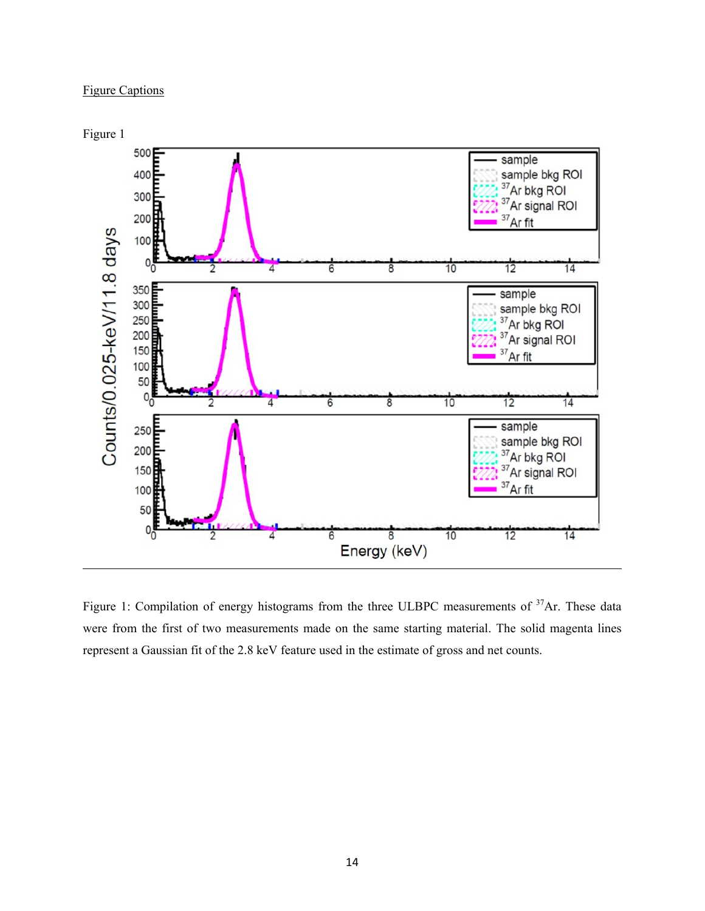# Figure Captions



Figure 1: Compilation of energy histograms from the three ULBPC measurements of <sup>37</sup>Ar. These data were from the first of two measurements made on the same starting material. The solid magenta lines represent a Gaussian fit of the 2.8 keV feature used in the estimate of gross and net counts.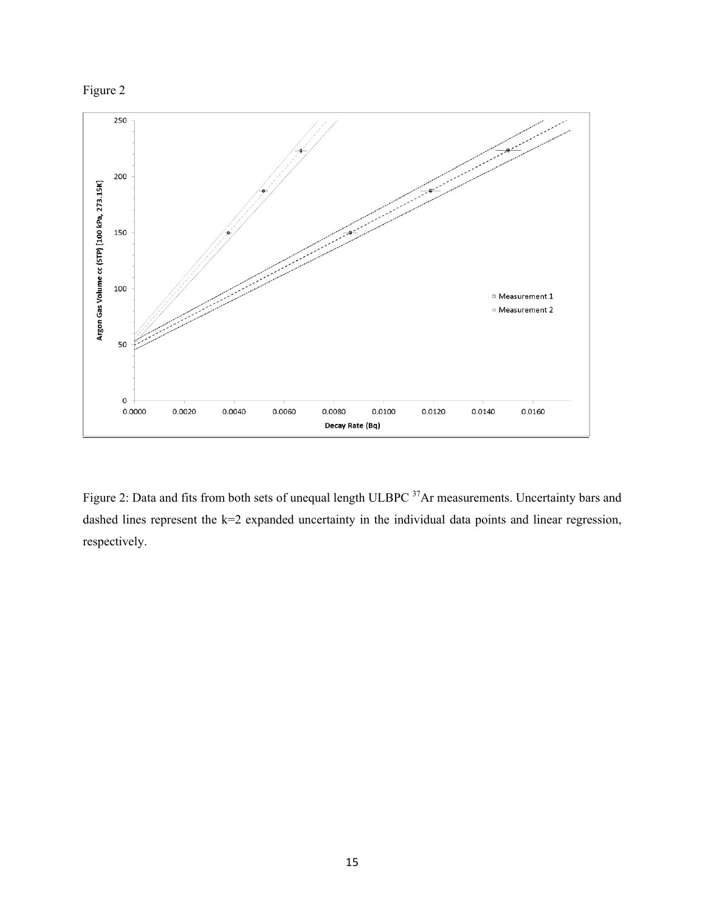



Figure 2: Data and fits from both sets of unequal length ULBPC <sup>37</sup>Ar measurements. Uncertainty bars and dashed lines represent the k=2 expanded uncertainty in the individual data points and linear regression, respectively.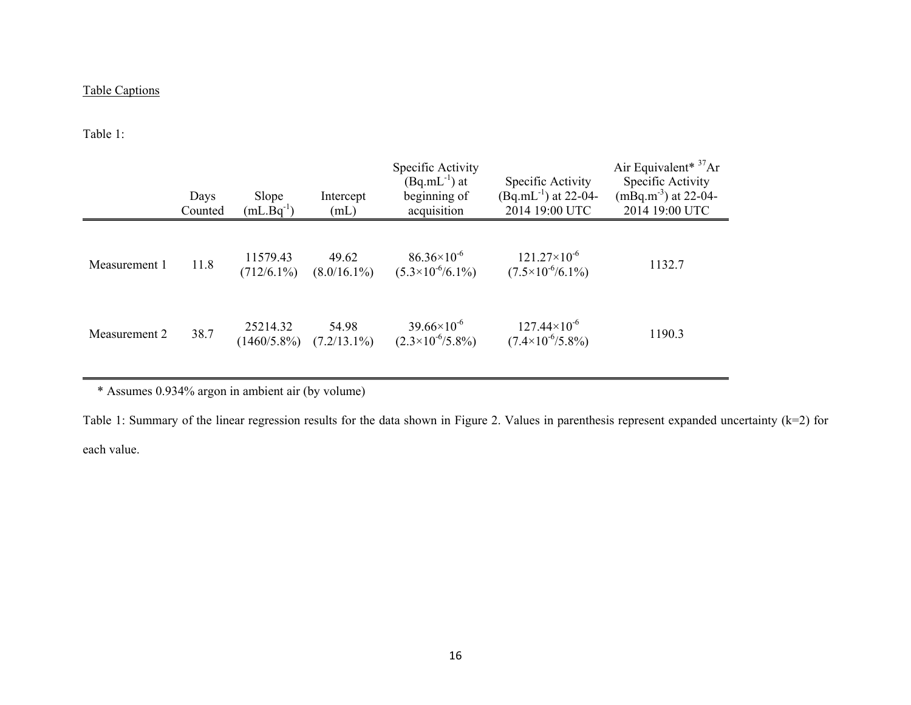# Table Captions

Table 1:

|               | Days<br>Counted | Slope<br>$(mL.Bq^{-1})$    | Intercept<br>(mL)       | Specific Activity<br>$(Bq.mL^{-1})$ at<br>beginning of<br>acquisition | Specific Activity<br>$(Bq.mL^{-1})$ at 22-04-<br>2014 19:00 UTC | Air Equivalent <sup>* <math>37</math></sup> Ar<br>Specific Activity<br>$(mBq.m^{-3})$ at 22-04-<br>2014 19:00 UTC |
|---------------|-----------------|----------------------------|-------------------------|-----------------------------------------------------------------------|-----------------------------------------------------------------|-------------------------------------------------------------------------------------------------------------------|
| Measurement 1 | 11.8            | 11579.43<br>$(712/6.1\%)$  | 49.62<br>$(8.0/16.1\%)$ | $86.36\times10^{-6}$<br>$(5.3\times10^{6}/6.1\%)$                     | $121.27\times10^{-6}$<br>$(7.5\times10^{6}/6.1\%)$              | 1132.7                                                                                                            |
| Measurement 2 | 38.7            | 25214.32<br>$(1460/5.8\%)$ | 54.98<br>$(7.2/13.1\%)$ | $39.66\times10^{-6}$<br>$(2.3\times10^{-6}/5.8\%)$                    | $127.44\times10^{-6}$<br>$(7.4\times10^{-6}/5.8\%)$             | 1190.3                                                                                                            |

\* Assumes 0.934% argon in ambient air (by volume)

Table 1: Summary of the linear regression results for the data shown in Figure 2. Values in parenthesis represent expanded uncertainty (k=2) for each value.